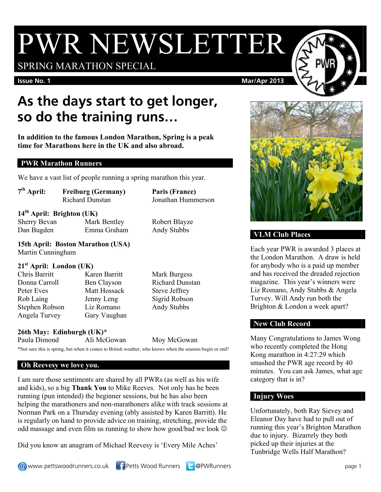# PWR NEWSLETTER

SPRING MARATHON SPECIAL

#### **Issue No. 1** Mar/Apr 2013

## **As the days start to get longer, so do the training runs…**

**In addition to the famous London Marathon, Spring is a peak time for Marathons here in the UK and also abroad.** 

#### **PWR Marathon Runners**

We have a vast list of people running a spring marathon this year.

| $7th$ April:              | <b>Freiburg (Germany)</b><br><b>Richard Dunstan</b> | Paris (France)<br>Jonathan Hummerson |
|---------------------------|-----------------------------------------------------|--------------------------------------|
|                           | $14th$ April: Brighton (UK)                         |                                      |
| <b>Sherry Bevan</b>       | Mark Bentley                                        | Robert Blayze                        |
| Dan Bugden                | Emma Graham                                         | Andy Stubbs                          |
| Martin Cunningham         | 15th April: Boston Marathon (USA)                   |                                      |
| $21st$ April: London (UK) |                                                     |                                      |

Chris Barritt Karen Barritt Mark Burgess Donna Carroll Ben Clayson Richard Dunstan Peter Eves Matt Hossack Steve Jeffrey Rob Laing Jenny Leng Sigrid Robson Stephen Robson Liz Romano Andy Stubbs

Angela Turvey Gary Vaughan

### **26th May: Edinburgh (UK)\***

Paula Dimond Ali McGowan Moy McGowan

#### \*Not sure this is spring, but when it comes to British weather, who knows when the seasons begin or end?

#### **Oh Reevesy we love you.**

I am sure those sentiments are shared by all PWRs (as well as his wife and kids), so a big **Thank You** to Mike Reeves. Not only has he been running (pun intended) the beginner sessions, but he has also been helping the marathoners and non-marathoners alike with track sessions at Norman Park on a Thursday evening (ably assisted by Karen Barritt). He is regularly on hand to provide advice on training, stretching, provide the odd massage and even film us running to show how good/bad we look

Did you know an anagram of Michael Reevesy is 'Every Mile Aches'





#### **VLM Club Places**

Each year PWR is awarded 3 places at the London Marathon. A draw is held for anybody who is a paid up member and has received the dreaded rejection magazine. This year's winners were Liz Romano, Andy Stubbs & Angela Turvey. Will Andy run both the Brighton & London a week apart?

#### **New Club Record**

Many Congratulations to James Wong who recently completed the Hong Kong marathon in 4:27:29 which smashed the PWR age record by 40 minutes. You can ask James, what age category that is in?

#### **Injury Woes**

Unfortunately, both Ray Sievey and Eleanor Day have had to pull out of running this year's Brighton Marathon due to injury. Bizarrely they both picked up their injuries at the Tunbridge Wells Half Marathon?